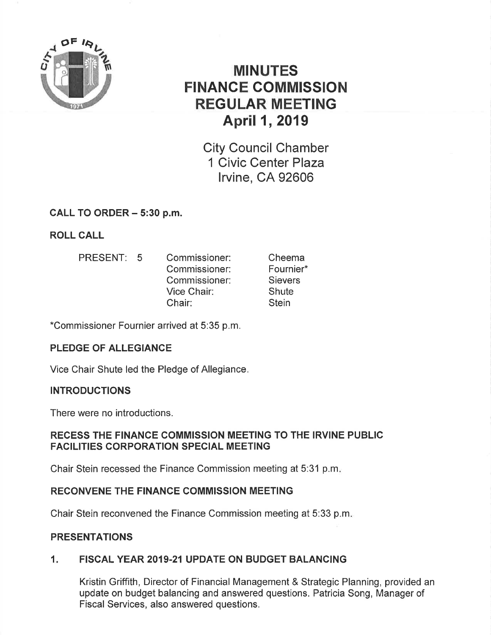

# MINUTES FINANCE GOMMISSION REGULAR MEETING April 1, 2019

City Council Chamber 1 Civic Center Plaza lrvine, CA 92606

## CALL TO ORDER - 5:30 p.m.

ROLL CALL

PRESENT: 5 Commissioner: Commissioner: Commissioner: Vice Chair: Chair: Cheema Fournier\* **Sievers Shute Stein** 

\*Commissioner Fournier arrived at 5:35 p.m.

# PLEDGE OF ALLEGIANGE

Vice Chair Shute led the Pledge of Allegiance

## INTRODUCTIONS

There were no introductions.

## RECESS THE FINANCE GOMMISSION MEETING TO THE IRVINE PUBLIC FACILITIES CORPORATION SPECIAL MEETING

Chair Stein recessed the Finance Commission meeting at 5:31 p.m

## RECONVENE THE FINANCE COMMISSION MEETING

Chair Stein reconvened the Finance Commission meeting at 5:33 p.m

## PRESENTATIONS

# 1. FISCAL YEAR 2019.21 UPDATE ON BUDGET BALANCING

Kristin Griffith, Director of Financial Management & Strategic Planning, provided an update on budget balancing and answered questions. Patricia Song, Manager of Fiscal Services, also answered questions.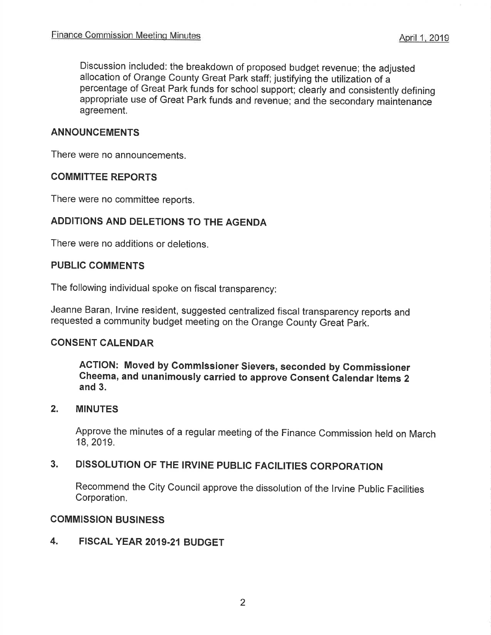Discussion included: the breakdown of proposed budget revenue; the adjusted allocation of Orange County Great Park staff; justifying the utilization of <sup>a</sup> percentage of Great Park funds for school support; clearly and consistently defining appropriate use of Great Park funds and revenue; and the secondary maintenance agreement.

#### ANNOUNCEMENTS

There were no announcements.

#### COMMITTEE REPORTS

There were no committee reports.

## ADDITIONS AND DELETIONS TO THE AGENDA

There were no additions or deletions.

#### PUBLIC COMMENTS

The following individual spoke on fiscal transparency:

Jeanne Baran, lrvine resident, suggested centralized fiscal transparency reports and requested a community budget meeting on the Orange County Great Park.

#### CONSENT CALENDAR

ACTION: Moved by Commlssioner Sievers, seconded by Gommissioner Cheema, and unanimously carried to approve Gonsent Galendar ltems <sup>2</sup> and 3.

#### 2. MINUTES

Approve the minutes of a regular meeting of the Finance Commission held on March 18,2019.

# 3. DISSOLUTION OF THE IRVINE PUBLIC FACILITIES CORPORATION

Recommend the City Council approve the dissolution of the lrvine Public Facilities Corporation.

#### COMMISSION BUSINESS

4. FISCAL YEAR 2019.21BUDGET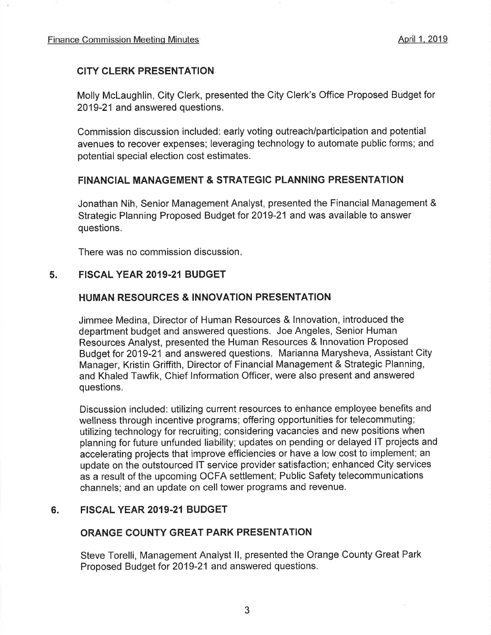## CITY CLERK PRESENTATION

Molly Mclaughlin, City Clerk, presented the City Clerk's Office Proposed Budget for 2019-21 and answered questions.

Commission discussion included : early voting outreach/participation and potential avenues to recover expenses; leveraging technology to automate public forms; and potential special election cost estimates.

## FINANCIAL MANAGEMENT & STRATEGIC PLANNING PRESENTATION

Jonathan Nih, Senior Management Analyst, presented the Financial Management & Strategic Planning Proposed Budget for 2019-21 and was available to answer questions.

There was no commission discussion

## 5. FISCAL YEAR 2019.21 BUDGET

## HUMAN RESOURCES & INNOVATION PRESENTATION

Jimmee Medina, Director of Human Resources & lnnovation, introduced the department budget and answered questions. Joe Angeles, Senior Human Resources Analyst, presented the Human Resources & lnnovation Proposed Budget for 2019-21 and answered questions. Marianna Marysheva, Assistant City Manager, Kristin Griffith, Director of Financial Management & Strategic Planning, and Khaled Tawfik, Chief lnformation Officer, were also present and answered questions.

Discussion included: utilizing current resources to enhance employee benefits and wellness through incentive programs; offering opportunities for telecommuting; utilizing technology for recruiting; considering vacancies and new positions when planning for future unfunded liability; updates on pending or delayed lT projects and accelerating projects that improve efficiencies or have a low cost to implement; an update on the outstourced lT service provider satisfaction; enhanced City services as a result of the upcoming OCFA settlement; Public Safety telecommunications channels; and an update on cell tower programs and revenue.

#### 6. FISCAL YEAR 2019-21 BUDGET

#### ORANGE COUNTY GREAT PARK PRESENTATION

Steve Torelli, Management Analyst ll, presented the Orange County Great Park Proposed Budget for 2019-21 and answered questions.